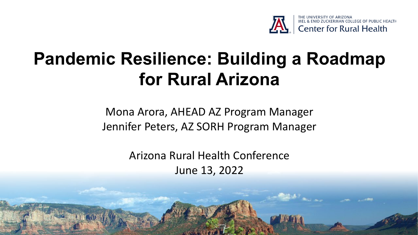

# **Pandemic Resilience: Building a Roadmap for Rural Arizona**

Mona Arora, AHEAD AZ Program Manager Jennifer Peters, AZ SORH Program Manager

> Arizona Rural Health Conference June 13, 2022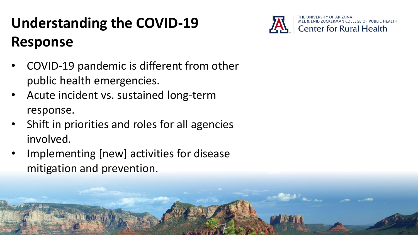# **Understanding the COVID-19 Response**



- COVID-19 pandemic is different from other public health emergencies.
- Acute incident vs. sustained long-term response.
- Shift in priorities and roles for all agencies involved.
- Implementing [new] activities for disease mitigation and prevention.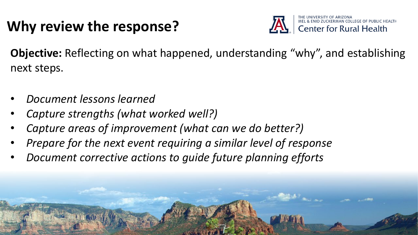## **Why review the response?**



**Objective:** Reflecting on what happened, understanding "why", and establishing next steps.

- *Document lessons learned*
- *Capture strengths (what worked well?)*
- *Capture areas of improvement (what can we do better?)*
- *Prepare for the next event requiring a similar level of response*
- *Document corrective actions to guide future planning efforts*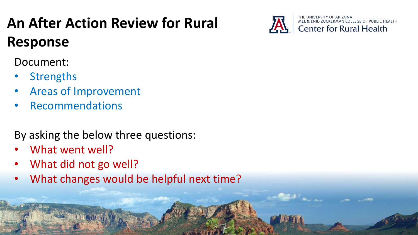# **An After Action Review for Rural Response**

Document:

- **Strengths**
- Areas of Improvement
- **Recommendations**

By asking the below three questions:

- What went well?
- What did not go well?
- What changes would be helpful next time?

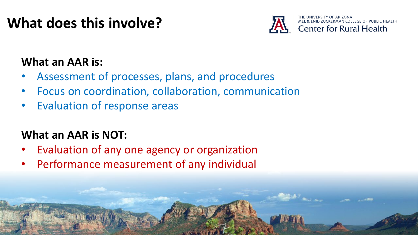## **What does this involve?**



#### **What an AAR is:**

- Assessment of processes, plans, and procedures
- Focus on coordination, collaboration, communication
- Evaluation of response areas

### **What an AAR is NOT:**

- Evaluation of any one agency or organization
- Performance measurement of any individual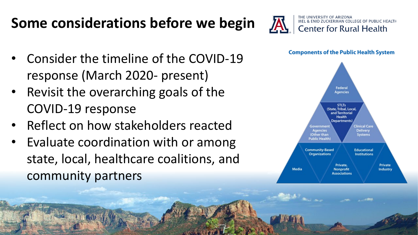# **Some considerations before we begin**

- Consider the timeline of the COVID-19 response (March 2020- present)
- Revisit the overarching goals of the COVID-19 response
- Reflect on how stakeholders reacted
- Evaluate coordination with or among state, local, healthcare coalitions, and community partners



**Components of the Public Health System** 

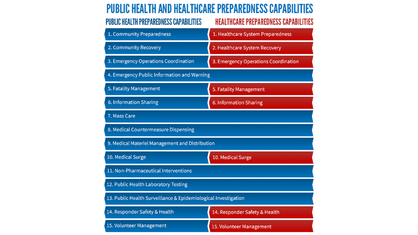### PUBLIC HEALTH AND HEALTHCARE PREPAREDNESS CAPABILITIES

| PUBLIC HEALTH PREPAREDNESS CAPABILITIES                        | HEALTHCARE PREPAREDNESS CAPABILITIES |
|----------------------------------------------------------------|--------------------------------------|
| 1. Community Preparedness                                      | 1. Healthcare System Preparedness    |
| 2. Community Recovery                                          | 2. Healthcare System Recovery        |
| 3. Emergency Operations Coordination                           | 3. Emergency Operations Coordination |
| 4. Emergency Public Information and Warning                    |                                      |
| 5. Fatality Management                                         | 5. Fatality Management               |
| 6. Information Sharing                                         | 6. Information Sharing               |
| 7. Mass Care                                                   |                                      |
| 8. Medical Countermeasure Dispensing                           |                                      |
| 9. Medical Materiel Management and Distribution                |                                      |
| 10. Medical Surge                                              | 10. Medical Surge                    |
| 11. Non-Pharmaceutical Interventions                           |                                      |
| 12. Public Health Laboratory Testing                           |                                      |
| 13. Public Health Surveillance & Epidemiological Investigation |                                      |
| 14. Responder Safety & Health                                  | 14. Responder Safety & Health        |
| 15. Volunteer Management                                       | 15. Volunteer Management             |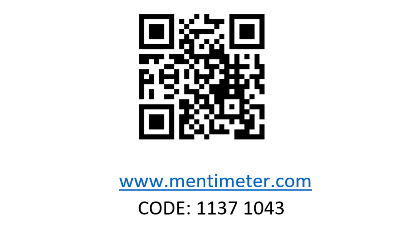

www.mentimeter.com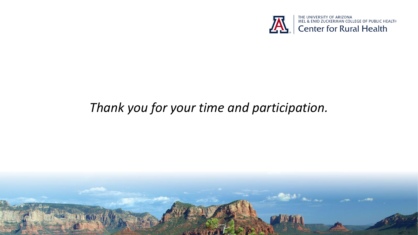![](_page_8_Picture_0.jpeg)

### *Thank you for your time and participation.*

![](_page_8_Picture_2.jpeg)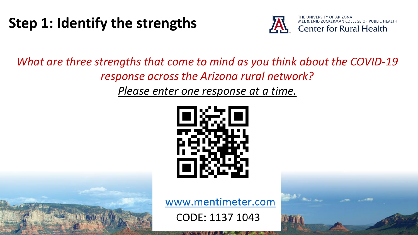### **Step 1: Identify the strengths**

![](_page_9_Picture_1.jpeg)

#### *What are three strengths that come to mind as you think about the COVID-19 response across the Arizona rural network?*

*Please enter one response at a time.*

![](_page_9_Picture_4.jpeg)

www.mentimeter.com

![](_page_9_Picture_7.jpeg)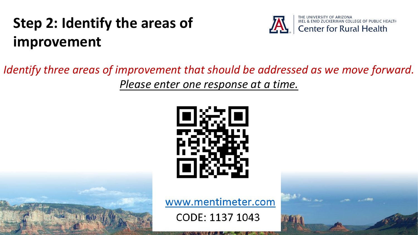## **Step 2: Identify the areas of improvement**

![](_page_10_Picture_1.jpeg)

#### *Identify three areas of improvement that should be addressed as we move forward. Please enter one response at a time.*

![](_page_10_Picture_3.jpeg)

www.mentimeter.com

![](_page_10_Picture_6.jpeg)